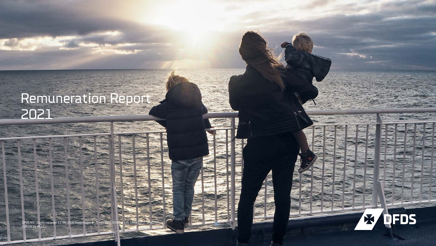# Remuneration Report 2021

**X DFDS** 

DFDS A/S · Sundkrogsgade 11, DK-2100 Copenhagen Ø · T +45 3342 3342 <mark>vF</mark> +45 3 CVR 14 19 47 11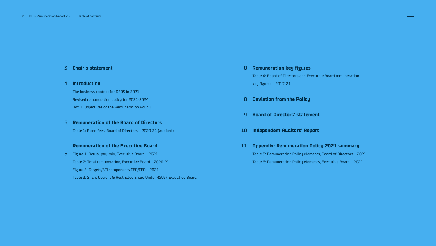## **[Chair's statement](#page-2-0)** 3

## **[Introduction](#page-3-0)** 4

The business context for DFDS in 2021 Revised remuneration policy for 2021-2024 Box 1: Objectives of the Remuneration Policy

## **[Remuneration of the Board of Directors](#page-4-0)** 5

Table 1: Fixed fees, Board of Directors – 2020-21 (audited)

## **[Remuneration of the Executive Board](#page-5-0)**

Figure 1: Actual pay-mix, Executive Board – 2021 6 Table 2: Total remuneration, Executive Board – 2020-21 Figure 2: Targets/STI components CEO/CFO – 2021 Table 3: Share Options & Restricted Share Units (RSUs), Executive Board

- **[Remuneration key figures](#page-7-0)** 8 Table 4: Board of Directors and Executive Board remuneration key figures – 2017-21
- **[Deviation from the Policy](#page-7-0)**  8
- **[Board of Directors' statement](#page-8-0)**  9
- **[Independent Auditors' Report](#page-9-0)** 10
- **[Appendix: Remuneration Policy 2021 summary](#page-10-0)** 11 Table 5: Remuneration Policy elements, Board of Directors – 2021 Table 6: Remuneration Policy elements, Executive Board – 2021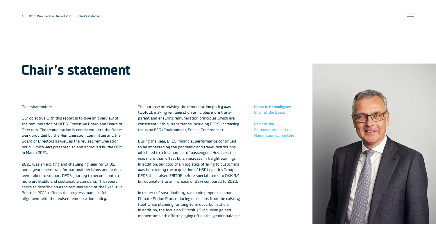# <span id="page-2-0"></span>**Chair's statement**

#### Dear shareholder

Our objective with this report is to give an overview of the remuneration of DFDS' Executive Board and Board of Directors. The remuneration is consistent with the framework provided by the Remuneration Committee and the Board of Directors as well as the revised remuneration policy which was presented to and approved by the AGM in March 2021.

2021 was an exciting and challenging year for DFDS, and a year where transformational decisions and actions were taken to support DFDS' journey to become both a more profitable and sustainable company. This report seeks to describe how the remuneration of the Executive Board in 2021 reflects the progress made, in full alignment with the revised remuneration policy.

The purpose of revising the remuneration policy was twofold, making remuneration principles more transparent and ensuring remuneration principles which are consistent with current trends including DFDS' increasing focus on ESG (Environment, Social, Governance).

During the year, DFDS' financial performance continued to be impacted by the pandemic and travel restrictions which led to a low number of passengers. However, this was more than offset by an increase in freight earnings. In addition, our cold chain logistics offering to customers was boosted by the acquisition of HSF Logistics Group. DFDS thus raised EBITDA before special items to DKK 3.4 bn, equivalent to an increase of 25% compared to 2020.

In respect of sustainability, we made progress on our Climate Action Plan, reducing emissions from the existing fleet while planning for long-term decarbonisation. In addition, the focus on Diversity & Inclusion gained momentum with efforts paying off on the gender balance. **Claus V. Hemmingsen** Chair of the Board

Chair of the Remuneration and the Nomination Committee

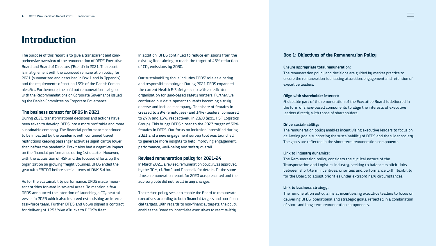## <span id="page-3-0"></span>**Introduction**

The purpose of this report is to give a transparent and comprehensive overview of the remuneration of DFDS' Executive Board and Board of Directors ('Board') in 2021. The report is in alignement with the approved remuneration policy for 2021 (summarized and described in Box 1 and in Appendix) and the requirements of section 139b of the Danish Companies Act. Furthermore, the paid out remuneration is aligned with the Recommendations on Corporate Governance issued by the Danish Committee on Corporate Governance.

#### **The business context for DFDS in 2021**

During 2021, transformational decisions and actions have been taken to develop DFDS into a more profitable and more sustainable company. The financial performance continued to be impacted by the pandemic with continued travel restrictions keeping passenger activities significantly lower than before the pandemic. Brexit also had a negative impact on the financial performance during 1st quarter. However, with the acquisition of HSF and the focused efforts by the organization on growing freight volumes, DFDS ended the year with EBITDA before special items of DKK 3.4 bn.

As for the sustainability performance, DFDS made important strides forward in several areas. To mention a few, DFDS announced the intention of launching a CO<sub>2</sub> neutral vessel in 2025 which also involved establishing an internal task-force team. Further, DFDS and Volvo signed a contract for delivery of 125 Volvo eTrucks to DFDS's fleet.

In addition, DFDS continued to reduce emissions from the existing fleet aiming to reach the target of 45% reduction of CO<sub>2</sub> emissions by 2030.

Our sustainability focus includes DFDS' role as a caring and responsible employer. During 2021 DFDS expanded the current Health & Safety set-up with a dedicated organisation for land-based safety matters. Further, we continued our development towards becoming a truly diverse and inclusive company. The share of females increased to 29% (employees) and 14% (leaders) compared to 27% and 13%, respectively in 2020 (excl. HSF Logistics Group). This brings DFDS closer to the 2023 target of 30% females in DFDS. Our focus on inclusion intensified during 2021 and a new engagement survey tool was launched to generate more insights to help improving engagement, performance, well-being and safety overall.

### **Revised remuneration policy for 2021-24**

In March 2021, a revised remuneration policy was approved by the AGM, cf. Box 1 and Appendix for details. At the same time, a remuneration report for 2020 was presented and the advisory vote did not result in any changes.

The revised policy seeks to enable the Board to remunerate executives according to both financial targets and non-financial targets. With regards to non-financial targets, the policy enables the Board to incentivise executives to react swiftly

## **Box 1: Objectives of the Remuneration Policy**

#### **Ensure appropriate total remuneration:**

The remuneration policy and decisions are guided by market practice to ensure the remuneration is enabling attraction, engagement and retention of executive leaders.

#### **Align with shareholder interest:**

A sizeable part of the remuneration of the Executive Board is delivered in the form of share-based components to align the interests of executive leaders directly with those of shareholders.

#### **Drive sustainability:**

The remuneration policy enables incentivising executive leaders to focus on delivering goals supporting the sustainability of DFDS and the wider society. The goals are reflected in the short-term remuneration components.

#### **Link to industry dynamics:**

The Remuneration policy considers the cyclical nature of the Transportation and Logistics industry, seeking to balance explicit links between short-term incentives, priorities and performance with flexibility for the Board to adjust priorities under extraordinary circumstances.

#### **Link to business strategy:**

The remuneration policy aims at incentivising executive leaders to focus on delivering DFDS' operational and strategic goals, reflected in a combination of short and long-term remuneration components.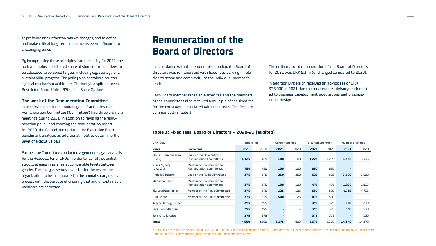<span id="page-4-0"></span>to profound and unforsean market changes, and to define and make critical long-term investments even in financially challenging times.

By incorporating these principles into the policy for 2021, the policy contains a dedicated share of short-term incentives to be allocated to personal targets, including e.g. strategy and sustainability progress. The policy also contains a counter cyclical mechanism within the LTIs through a split between Restricted Share Units (RSUs) and Share Options.

### **The work of the Remuneration Committee**

In accordance with the annual cycle of activities the Remuneration Committee ('Committee') had three ordinary meetings during 2021. In addition to revising the remuneration policy and creating the remuneration report for 2020, the Committee updated the Executive Board benchmark analysis as additional input to determine the level of executive pay.

Further, the Committee conducted a gender pay gap analysis for the Headquarter of DFDS in order to identify potential structural gaps in salaries at comparable levels between gender. The analysis serves as a pilot for the rest of the organization to be incorporated in the annual salary review process with the purpose of ensuring that any unexplainable variances are corrected.

## **Remuneration of the Board of Directors**

In accordance with the remuneration policy, the Board of Directors was remunerated with fixed fees varying in relation to scope and complexity of the individual member's work.

Each Board member received a fixed fee and the members of the committees also received a multiple of the fixed fee for the extra work associated with their roles. The fees are summarized in Table 1.

### **Table 1: Fixed fees, Board of Directors – 2020-21 (audited)**

| <b>DKK '000</b>                     |                                                              | Board Fee |       |       | Committee fees           |       | <b>Total Remuneration</b> |        | Number of shares |  |
|-------------------------------------|--------------------------------------------------------------|-----------|-------|-------|--------------------------|-------|---------------------------|--------|------------------|--|
| Name                                | <b>Commitees</b>                                             | 2021      | 2020  | 2021  | 2020                     | 2021  | 2020                      | 2021   | 2020             |  |
| Claus V. Hemmingsen<br>(Chair)      | Chair of the Nomination &<br><b>Remuneration Committees</b>  | 1,125     | 1,125 | 100   | 100                      | 1,225 | 1,225                     | 3,336  | 3,336            |  |
| <b>Klaus Nyborg</b><br>(Vice Chair) | Member of the Nomination &<br><b>Remuneration Committees</b> | 750       | 750   | 100   | 100                      | 850   | 850                       | ٠      |                  |  |
| <b>Anders Götzsche</b>              | <b>Chair of the Audit Committee</b>                          | 375       | 375   | 250   | 250                      | 625   | 625                       | 3,500  | 3,500            |  |
| Marianne Dahl                       | Member of the Nomination &<br><b>Remuneration Committees</b> | 375       | 375   | 100   | 100                      | 475   | 475                       | 1,817  | 1,817            |  |
| Jill Lauritzen Melby                | Member of the Audit Committee                                | 375       | 375   | 125   | 125                      | 500   | 500                       | 4,735  | 4,735            |  |
| Dirk Reich <sup>1</sup>             | Member of the Audit Committee                                | 375       | 375   | 500   | 125                      | 875   | 500                       | ٠      |                  |  |
| Jesper Hartvig Nielsen              |                                                              | 375       | 375   | ٠     | $\overline{\phantom{a}}$ | 375   | 375                       | 230    | 230              |  |
| Lars Skjold-Hansen                  |                                                              | 375       | 375   | ٠     | ۰                        | 375   | 375                       | 530    | 530              |  |
| Jens Otto Knudsen                   |                                                              | 375       | 375   | ٠     | ٠                        | 375   | 375                       | ٠      | 130              |  |
| <b>Total</b>                        |                                                              | 4,500     | 4,500 | 1,175 | 800                      | 5,675 | 5,300                     | 14,148 | 14,278           |  |

**<sup>1</sup>**Dirck Reich received an ad-hoc fee of DKK 375,000 in 2021 due to considerable advisory work related to business development, acquisitions and organisational design. The ad-hoc fee is extraordinary included as part of Committee fees above.

The ordinary total remuneration of the Board of Directors for 2021 was DKK 5.3 m (unchanged compared to 2020).

In addition Dirk Reich received an ad-hoc fee of DKK 375,000 in 2021 due to considerable advisory work related to business development, acquisitions and organisational design.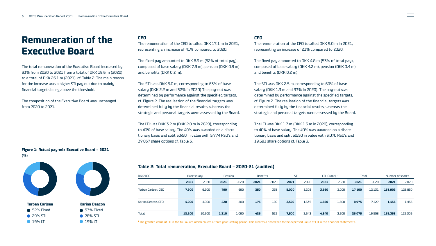## <span id="page-5-0"></span>**Remuneration of the Executive Board**

The total remuneration of the Executive Board increased by 33% from 2020 to 2021 from a total of DKK 19.6 m (2020) to a total of DKK 26.1 m (2021), cf. Table 2. The main reason for the increase was a higher STI pay out due to mainly financial targets being above the threshold.

The composition of the Executive Board was unchanged from 2020 to 2021.

**Figure 1: Actual pay-mix Executive Board – 2021** (%)







| <b>Karina Deacon</b> |
|----------------------|
| $\bullet$ 53% Fixed  |
| <b>28% STI</b>       |
| $\bigcirc$ 19% ITI   |

#### **CEO**

The remuneration of the CEO totalled DKK 17.1 m in 2021 representing an increase of 41% compared to 2020.

The fixed pay amounted to DKK 8.9 m (52% of total pay), composed of base salary (DKK 7.9 m), pension (DKK 0.8 m) and benefits (DKK 0.2 m).

The STI was DKK 5.0 m, corresponding to 63% of base salary (DKK 2.2 m and 32% in 2020) The pay-out was determined by performance against the specified targets, cf. Figure 2. The realisation of the financial targets was determined fully by the financial results, whereas the strategic and personal targets were assessed by the Board.

The LTI was DKK 3.2 m (DKK 2.0 m in 2020), corresponding to 40% of base salary. The 40% was awarded on a discretionary basis and split 50/50 in value with 5,774 RSU's and 37,037 share options cf. Table 3.

### **CFO**

The remuneration of the CFO totalled DKK 9.0 m in 2021, representing an increase of 21% compared to 2020.

The fixed pay amounted to DKK 4.8 m (53% of total pay), composed of base salary (DKK 4.2 m), pension (DKK 0.4 m) and benefits (DKK 0.2 m).

The STI was DKK 2.5 m, corresponding to 60% of base salary (DKK 1.3 m and 33% in 2020). The pay-out was determined by performance against the specified targets, cf. Figure 2. The realisation of the financial targets was determined fully by the financial results, whereas the strategic and personal targets were assessed by the Board.

The LTI was DKK 1.7 m (DKK 1.5 m in 2020), corresponding to 40% of base salary. The 40% was awarded on a discretionary basis and split 50/50 in value with 3,070 RSU's and 19,691 share options cf. Table 3.

## **Table 2: Total remuneration, Executive Board – 2020-21 (audited)**

| DKK '000            | Base salary |        | Pension |       |      | <b>Benefits</b> | STI   |       | LTI (Grant) $1$ |       | Total  |        | Number of shares |         |
|---------------------|-------------|--------|---------|-------|------|-----------------|-------|-------|-----------------|-------|--------|--------|------------------|---------|
|                     | 2021        | 2020   | 2021    | 2020  | 2021 | 2020            | 2021  | 2020  | 2021            | 2020  | 2021   | 2020   | 2021             | 2020    |
| Torben Carlsen, CEO | 7.900       | 6,900  | 790     | 690   | 250  | 333             | 5,000 | 2,208 | 3,160           | 2,000 | 17.100 | 12,131 | 133,902          | 123,850 |
|                     |             |        |         |       |      |                 |       |       |                 |       |        |        |                  |         |
| Karina Deacon, CFO  | 4.200       | 4.000  | 420     | 400   | 175  | 192             | 2.500 | 1,335 | 1,680           | 1,500 | 8,975  | 7.427  | 1,456            | 1,456   |
|                     |             |        |         |       |      |                 |       |       |                 |       |        |        |                  |         |
| Total               | 12,100      | 10,900 | 1,210   | 1,090 | 425  | 525             | 7.500 | 3,543 | 4,840           | 3,500 | 26,075 | 19,558 | 135,358          | 125,306 |

**<sup>1</sup>**The granted value of LTI is the full award which covers a three year vesting period. This creates a difference to the expensed value of LTI in the financial statements.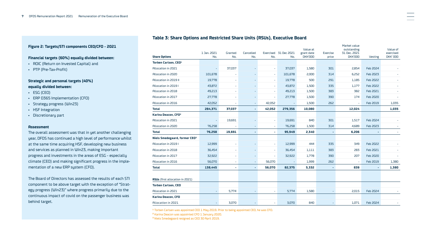## **Table 3: Share Options and Restricted Share Units (RSUs), Executive Board**

#### **Share Options** 1 Jan. 2021 No. Granted No. Cancelled No. Exercised 31 Dec 2021 No. No. Value at grant date DKK'000 Exercise price Market value outstanding 31 Dec. 2021 Vesting Value of exercised DKK' 000 **Torben Carlsen, CEO1** Allocation in 2021 - 37,037 - - 37,037 1,580 301 2,854 Feb 2024 - Allocation in 2020 101,678 - - - - 101,678 2,000 314 6,252 Feb 2023 -Allocation in 2019 II 19,778 - - - 19,778 500 291 1,185 Feb 2022 - Allocation in 2019 I 43,872 - - - 43,872 1,500 335 1,177 Feb 2022 - Allocation in 2018 49,213 - - - 49,213 1,500 383 382 Feb 2021 - Allocation in 2017 27,778 - - - 27,778 1,500 390 174 Feb 2020 - Allocation in 2016 42,052 - - 42,052 - 1,500 262 - Feb 2019 1,035 **Total 284,371 37,037 - 42,052 279,356 10,080 12,024 1,035 Karina Deacon, CFO2** Allocation in 2021 - 19,691 - 19,691 - 19,691 840 301 1,517 Feb 2024 -Allocation in 2020 76,258 - - - 76,258 1,500 314 4,689 Feb 2023 - **Total 76,258 19,691 - - 95,949 2,340 - 6,206 -** - **Niels Smedegaard, former CEO3** Allocation in 2019 I 12,999 The Superintence of the Lagger Catalogue and the Superintence of the Superintence o Allocation in 2018 36,454 - - - 36,454 1,111 383 283 Feb 2021 - Allocation in 2017 32,922 - - - 32,922 1,778 390 207 Feb 2020 - Allocation in 2016 56,070 - - 56,070 - 1,999 262 - Feb 2019 1,380 **Total 138,445 - - 56,070 82,375 5,332 - 839 - 1,380 RSUs** (first allocation in 2021) **Torben Carlsen, CEO** Allocation in 2021 - 1992 - 1993 - 1993 - 1994 - 1,580 - 2,015 Feb 2024 - 1,580 - 2,015 Feb 2024 **Karina Deacon, CFO** Allocation in 2021 - 3,070 - - 3,070 840 - 1,071 Feb 2024 -

**<sup>1</sup>** Torben Carlsen was appointed CEO 1 May 2019. Prior to being appointed CEO, he was CFO.

**<sup>2</sup>** Karina Deacon was appointed CFO 1 January 2020.

**<sup>3</sup>** Niels Smedegaard resigned as CEO 30 April 2019.

### **Figure 2: Targets/STI components CEO/CFO - 2021**

### **Financial targets (60%) equally divided between:**

- ROIC (Return on Invested Capital) and
- PTP (Pre-Tax-Profit)

### **Strategic and personal targets (40%) equally divided between:**

- ESG (CEO)
- ERP D365 Implementation (CFO)
- Strategy progress (Win23)
- HSF Integration
- Discretionary part

#### **Assessment**

The overall assessment was that in yet another challenging year, DFDS has continued a high level of performance whilst at the same time acquiring HSF, developing new business and services as planned in Win23, making important progress and investments in the areas of ESG - especially climate (CEO) and making significant progress in the implementation of a new ERP system (CFO).

The Board of Directors has assessed the results of each STI component to be above target with the exception of "Strategy progress (Win23)" where progress primarily due to the continuous impact of covid on the passenger business was behind target.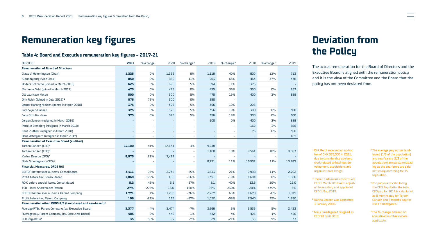## <span id="page-7-0"></span>**Remuneration key figures**

## **Table 4: Board and Executive remuneration key figures – 2017-21**

| <b>DKK'000</b>                                                       | 2021   | %-change                 | 2020                     | %-change <sup>7</sup> | 2019                     | %-change <sup>7</sup> | 2018   | %-change <sup>7</sup> | 2017                     |
|----------------------------------------------------------------------|--------|--------------------------|--------------------------|-----------------------|--------------------------|-----------------------|--------|-----------------------|--------------------------|
| <b>Remuneration of Board of Directors</b>                            |        |                          |                          |                       |                          |                       |        |                       |                          |
| Claus V. Hemmingsen (Chair)                                          | 1,225  | 0%                       | 1,225                    | 9%                    | 1,119                    | 40%                   | 800    | 12%                   | 713                      |
| Klaus Nyborg (Vice Chair)                                            | 850    | 0%                       | 850                      | 11%                   | 763                      | 65%                   | 463    | 37%                   | 338                      |
| Anders Götzsche (joined in March 2018)                               | 625    | 0%                       | 625                      | 5%                    | 594                      | 11%                   | 375    |                       |                          |
| Marianne Dahl (joined in March 2017)                                 | 475    | 0%                       | 475                      | 0%                    | 475                      | 36%                   | 350    | 0%                    | 263                      |
| Jill Lauritzen Melby                                                 | 500    | 0%                       | 500                      | 5%                    | 475                      | 19%                   | 400    | 3%                    | 388                      |
| Dirk Reich (joined in July 2019) 1                                   | 875    | 75%                      | 500                      | 0%                    | 250                      |                       |        | ÷                     | $\overline{\phantom{a}}$ |
| Jesper Hartvig Nielsen (joined in March 2018)                        | 375    | 0%                       | 375                      | 5%                    | 356                      | 19%                   | 225    | $\blacksquare$        | $\overline{\phantom{a}}$ |
| Lars Skjold-Hansen                                                   | 375    | 0%                       | 375                      | 5%                    | 356                      | 19%                   | 300    | 0%                    | 300                      |
| Jens Otto Knudsen                                                    | 375    | 0%                       | 375                      | 5%                    | 356                      | 19%                   | 300    | 0%                    | 300                      |
| Jørgen Jensen (resigned in March 2019)                               |        | ٠                        |                          | ÷.                    | 100                      | 0%                    | 400    | 3%                    | 388                      |
| Pernille Erenbjerg (resigned in March 2018)                          | ٠      | $\overline{\phantom{a}}$ |                          | $\bar{a}$             | $\overline{\phantom{a}}$ | ÷,                    | 162    | 3%                    | 588                      |
| Kent Vildbæk (resigned in March 2018)                                | ٠      | $\overline{\phantom{a}}$ |                          | $\bar{a}$             | ÷                        | $\bar{a}$             | 75     | 0%                    | 300                      |
| Bent Østergaard (resigned in March 2017)                             | ٠      | $\overline{\phantom{a}}$ | $\overline{\phantom{a}}$ | $\bar{a}$             | ÷                        | ÷                     |        | $\bar{\phantom{a}}$   | 187                      |
| <b>Remuneration of Executive Board (audited)</b>                     |        |                          |                          |                       |                          |                       |        |                       |                          |
| Torben Carlsen (CEO) <sup>2</sup>                                    | 17,100 | 41%                      | 12,131                   | 4%                    | 9,748                    |                       |        |                       |                          |
| Torben Carlsen (CFO) <sup>2</sup>                                    |        | ÷,                       |                          | ÷.                    | 1,180                    | 10%                   | 9,564  | 10%                   | 8,663                    |
| Karina Deacon (CFO) <sup>3</sup>                                     | 8,975  | 21%                      | 7,427                    | ٠                     | $\overline{\phantom{a}}$ |                       |        | ÷.                    |                          |
| Niels Smedegaard (CEO) <sup>4</sup>                                  | ٠      |                          |                          | $\sim$                | 8,751                    | 11%                   | 15,502 | 11%                   | 13,987                   |
| <b>Financial Measures, DFDS A/S</b>                                  |        |                          |                          |                       |                          |                       |        |                       |                          |
| EBITDA before special items, Consolidated                            | 3,411  | 25%                      | 2,732                    | $-25%$                | 3,633                    | 21%                   | 2,998  | 11%                   | 2,702                    |
| Profit before tax, Consolidated                                      | 1,069  | 129%                     | 466                      | $-66%$                | 1,371                    | $-19%$                | 1,694  | 0%                    | 1,686                    |
| ROIC before special items, Consolidated                              | 5.2    | 48%                      | 3.5                      | $-57%$                | 8.1                      | $-40%$                | 13.5   | $-29%$                | 19.0                     |
| TSR - Total Shareholder Return                                       | 27%    | $-275%$                  | $-15%$                   | $-160%$               | 25%                      | $-230%$               | $-20%$ | $-439%$               | 6%                       |
| EBITDA before special items, Parent Company                          | 1,771  | 1%                       | 1,758                    | $-36%$                | 2,727                    | 63%                   | 1,670  | $-8%$                 | 1,817                    |
| Profit before tax, Parent Company                                    | 106    | $-21%$                   | 135                      | $-87%$                | 1,052                    | $-59%$                | 2,540  | 35%                   | 1,880                    |
| Remuneration other, DFDS A/S (land-based and sea-based) <sup>5</sup> |        |                          |                          |                       |                          |                       |        |                       |                          |
| Average FTEs, Parent Company (ex. Executive Board)                   | 2,377  | $-4%$                    | 2,474                    | $-7%$                 | 2,666                    | 5%                    | 2,539  | 5%                    | 2,423                    |
| Average pay, Parent Company (ex. Executive Board)                    | 485    | 8%                       | 448                      | 1%                    | 442                      | 4%                    | 425    | 1%                    | 420                      |
| CEO Pay-Ratio <sup>6</sup>                                           | 35     | 30%                      | 27                       | $-7%$                 | 29                       | $-21%$                | 36     | 9%                    | 33                       |

## **Deviation from the Policy**

The actual remuneration for the Board of Directors and the Executive Board is aligned with the remuneration policy and it is the view of the Committee and the Board that the policy has not been deviated from.

**<sup>1</sup>** Dirk Reich received an ad-hoc fee of DKK 375,000 in 2021, due to considerable advisory work related to business development, acquisitions and organisational design.

**<sup>2</sup>** Torben Carlsen was constitued CEO 1 March 2019 with adjusted base salary and appointed CEO 1 May 2019.

**<sup>3</sup>** Karina Deacon was appointed 1 January 2020.

**<sup>4</sup>** Niels Smedegaard resigned as CEO 30 April 2019.

- **<sup>5</sup>** The average pay across landbased (1/3 of the population) and sea-fearers (2/3 of the population) are partly misleading as the sea-farers are paid net salary according to DIS legislation.
- **<sup>6</sup>** For purpose of calculating the CEO Pay-Ratio, the total CEO pay for 2019 is calculated as 8 months pay for Torben Carlsen and 4 months pay for Niels Smedegaard.

**<sup>7</sup>**The %-change is based on annualised numbers where applicable.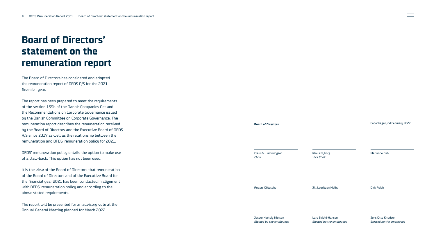## <span id="page-8-0"></span>**Board of Directors' statement on the remuneration report**

The Board of Directors has considered and adopted the remuneration report of DFDS A/S for the 2021 financial year.

The report has been prepared to meet the requirements of the section 139b of the Danish Companies Act and the Recommendations on Corporate Governance issued by the Danish Committee on Corporate Governance. The remuneration report describes the remuneration received by the Board of Directors and the Executive Board of DFDS A/S since 2017 as well as the relationship between the remuneration and DFDS' remuneration policy for 2021.

DFDS' remuneration policy entails the option to make use of a claw-back. This option has not been used.

It is the view of the Board of Directors that remuneration of the Board of Directors and of the Executive Board for the financial year 2021 has been conducted in alignment with DFDS' remuneration policy and according to the above stated requirements.

The report will be presented for an advisory vote at the Annual General Meeting planned for March 2022.

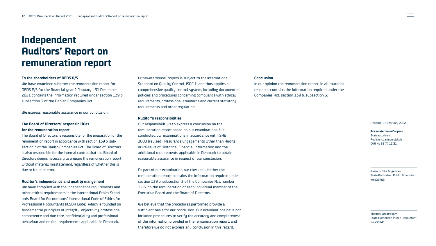## <span id="page-9-0"></span>**Independent Auditors' Report on remuneration report**

#### **To the shareholders of DFDS A/S**

We have examined whether the remuneration report for DFDS A/S for the financial year 1 January - 31 December 2021 contains the information required under section 139 b, subsection 3 of the Danish Companies Act.

We express reasonable assurance in our conclusion.

### **The Board of Directors' responsibilities for the remuneration report**

The Board of Directors is responsible for the preparation of the remuneration report in accordance with section 139 b, subsection 3 of the Danish Companies Act. The Board of Directors is also responsible for the internal control that the Board of Directors deems necessary to prepare the remuneration report without material misstatement, regardless of whether this is due to fraud or error.

#### **Auditor's independence and quality mangement**

We have complied with the independence requirements and other ethical requirements in the International Ethics Standards Board for Accountants' International Code of Ethics for Professional Accountants (IESBA Code), which is founded on fundamental principles of integrity, objectivity, professional competence and due care, confidentiality and professional behaviour and ethical requirements applicable in Denmark.

PricewaterhouseCoopers is subject to the International Standard on Quality Control, ISQC 1, and thus applies a comprehensive quality control system, including documented policies and procedures concerning compliance with ethical requirements, professional standards and current statutory requirements and other regulation.

#### **Auditor's responsibilities**

Our responsibility is to express a conclusion on the remuneration report based on our examinations. We conducted our examinations in accordance with ISAE 3000 (revised), Assurance Engagements Other than Audits or Reviews of Historical Financial Information and the additional requirements applicable in Denmark to obtain reasonable assurance in respect of our conclusion.

As part of our examination, we checked whether the remuneration report contains the information required under section 139 b, subsection 3 of the Companies Act, number 1 - 6, on the remuneration of each individual member of the Executive Board and the Board of Directors.

We believe that the procedures performed provide a sufficient basis for our conclusion. Our examinations have not included procedures to verify the accuracy and completeness of the information provided in the remuneration report, and therefore we do not express any conclusion in this regard.

#### **Conclusion**

In our opinion the remuneration report, in all material respects, contains the information required under the Companies Act, section 139 b, subsection 3.

Hellerup, 24 February 2022

#### **PricewaterhouseCoopers** Statsautoriseret Revisionspartnerselskab CVR No 33 77 12 31

Rasmus Friis Jørgensen State Authorised Public Accountant mne28705

Thomas Wraae Holm State Authorised Public Accountant mne30141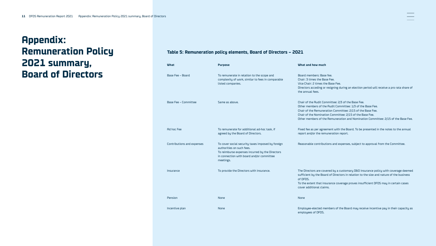## <span id="page-10-0"></span>**Appendix: Remuneration Policy 2021 summary, Board of Directors**

## **Table 5: Remuneration policy elements, Board of Directors – 2021**

| <b>What</b>                 | <b>Purpose</b>                                                                                                                                                                              | What and how much                                                                                                                                                                                                                                                                                                               |
|-----------------------------|---------------------------------------------------------------------------------------------------------------------------------------------------------------------------------------------|---------------------------------------------------------------------------------------------------------------------------------------------------------------------------------------------------------------------------------------------------------------------------------------------------------------------------------|
| Base Fee - Board            | To remunerate in relation to the scope and<br>complexity of work, similar to fees in comparable<br>listed companies.                                                                        | Board members: Base fee.<br>Chair: 3 times the Base Fee.<br>Vice Chair: 2 times the Base Fee.<br>Directors acceding or resigning during an election period will receive a pro rata share of<br>the annual fees.                                                                                                                 |
| <b>Base Fee - Committee</b> | Same as above.                                                                                                                                                                              | Chair of the Audit Committee: 2/3 of the Base Fee.<br>Other members of the Audit Committee: 1/3 of the Base Fee.<br>Chair of the Remuneration Committee: 2/15 of the Base Fee.<br>Chair of the Nomination Committee: 2/15 of the Base Fee.<br>Other members of the Remuneration and Nomination Committee: 2/15 of the Base Fee. |
| <b>Ad hoc Fee</b>           | To remunerate for additional ad-hoc task, if<br>agreed by the Board of Directors.                                                                                                           | Fixed fee as per agreement with the Board. To be presented in the notes to the annual<br>report and/or the remuneration report.                                                                                                                                                                                                 |
| Contributions and expenses  | To cover social security taxes imposed by foreign<br>authorities on such fees.<br>To reimburse expenses incurred by the Directors<br>in connection with board and/or committee<br>meetings. | Reasonable contributions and expenses, subject to approval from the Committee.                                                                                                                                                                                                                                                  |
| Insurance                   | To provide the Directors with insurance.                                                                                                                                                    | The Directors are covered by a customary D&O insurance policy with coverage deemed<br>sufficient by the Board of Directors in relation to the size and nature of the business<br>of DFDS.<br>To the extent that insurance coverage proves insufficient DFDS may in certain cases<br>cover additional claims.                    |
| Pension                     | None                                                                                                                                                                                        | None                                                                                                                                                                                                                                                                                                                            |
| Incentive plan              | None                                                                                                                                                                                        | Employee-elected members of the Board may receive incentive pay in their capacity as<br>employees of DFDS.                                                                                                                                                                                                                      |